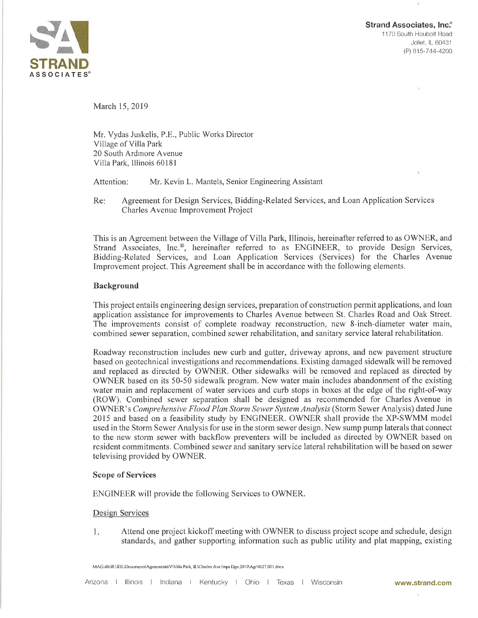

Strand Associates, Inc.<br>1170 South Houbolt Road<br>Joliet, IL 60431<br>(P) 815-744-4200 1170 South Houbolt Road Joliet, lL 60431 (P\ 815-744-4200

March 15,2019

Mr. Vydas Juskelis, P.E., Public Works Director Village of Villa Park 20 South Ardmore Avenue Villa Park, Illinois 60181

Attention: Mr. Kevin L. Mantels, Senior Engineering Assistant

Agreement for Design Services, Bidding-Related Services, and Loan Application Services Charles Avenue Improvement Project Re:

This is an Agreement between the Village of Villa Park, Illinois, hereinafter referred to as OWNER, and Strand Associates, Inc.<sup>®</sup>, hereinafter referred to as ENGINEER, to provide Design Services, Bidding-Related Services, and Loan Application Services (Services) for the Charles Avenue Improvement project. This Agreement shall be in accordance with the following elements.

## Background

This project entails engineering design services, preparation of construction permit applications, and loan application assistance for improvements to Charles Avenue between St. Charles Road and Oak Street. The improvements consist of complete roadway reconstruction, new 8-inch-diameter water main, combined sewer separation, combined sewer rehabilitation, and sanitary service lateral rehabilitation.

Roadway reconstruction includes new curb and gutter, driveway aprons, and new pavement structure based on geotechnical investigations and recommendations. Existing damaged sidewalk will be removed and replaced as directed by OWNER. Other sidewalks will be removed and replaced as directed by OWNER based on its 50-50 sidewalk program. New water main includes abandonment of the existing water main and replacement of water services and curb stops in boxes at the edge of the right-of-way (ROW). Combined sewer separation shall be designed as recommended for Charles Avenue in OWNER's Comprehensive Flood Plan Storm Sewer System Analysls (Storm Sewer Analysis) dated June 2015 and based on a feasibility study by ENGINEER. OWNER shall provide the XP-SWMM model used in the Storm Sewer Analysis for use in the stonn sewer design. New sump pump laterals that connect to the new storm sewer with backflow preventers will be included as directed by OWNER based on resident commitments. Combined sewer and sanitary service lateral rehabilitation will be based on sewer televising provided by OWNER.

## Scope of Services

ENGINEER will provide the following Services to O'WNER.

## Design Services

Ŀ. Attend one project kickoff meeting with OWNER to discuss project scope and schedule, design standards, and gather supporting information such as public utility and plat mapping, existing

MAG:dfe\R:\JOL\Documents\Agreements\V\Villa Park, IL\Charles Ave lmps Dgn.2019\Agr\4627.001 docx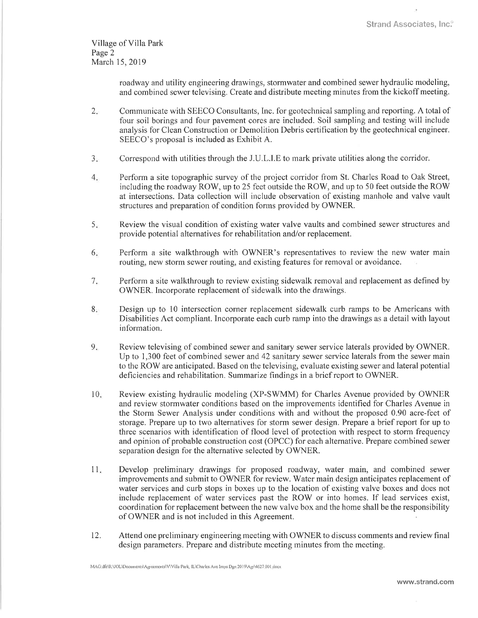Village of Villa Park Page 2 March 15, 2019

> roadway and utility engineering drawings, stormwater and combined sewer hydraulic modeling, and combined sewer televising. Create and distribute meeting minutes from the kickoff meeting.

- $2.5$ Communicate with SEECO Consultants, Inc. for geotechnical sampling and reporting. A total of four soil borings and four pavement cores are included. Soil sampling and testing will include analysis for Clean Construction or Demolition Debris certification by the geotechnical engineer. SEECO's proposal is included as Exhibit A.
- Correspond with utilities through the J.U.L.I.E to mark private utilities along the corridor.  $3.$
- Perform a site topographic survey of the project corridor from St. Charles Road to Oak Street, including the roadway ROV/, up to 25 feet outside the ROW, and up to 50 feet outside the ROW at intersections. Data collection will include observation of existing manhole and valve vault structures and preparation of condition forms provided by OWNER.  $4.$
- Review the visual condition of existing water valve vaults and combined sewer structures and provide potential alternatives for rehabilitation and/or replacement.  $5<sub>r</sub>$
- Perform a site walkthrough with OWNER's representatives to review the new water main routing, new storm sewer routing, and existing features for removal or avoidance. 6
- Perform a site walkthrough to review existing sidewalk removal and replacement as defined by OWNER. Incorporate replacement of sidewalk into the drawings.  $7.$
- Design up to 10 intersection corner replacement sidewalk curb ramps to be Americans with Disabilities Act compliant. Incorporate each curb ramp into the drawings as a detail with layout information. 8
- Review televising of combined sewer and sanitary sewer service laterals provided by OWNER. Up to 1,300 feet of combined sewer and 42 sanitary sewer service laterals from the sewer main to the ROW are anticipated. Based on the televising, evaluate existing sewer and lateral potential deficiencies and rehabilitation. Summarize findings in a brief report to OWNER.  $9.$
- $10.$ Review existing hydraulic modeling (XP-SWMM) for Charles Avenue provided by OWNER and review stormwater conditions based on the improvements identified for Charles Avenue in the Storm Sewer Analysis under conditions with and without the proposed 0,90 acre-feet of storage, Prepare up to two alternatives for storm sewer design. Prepare a brief report for up to three scenarios with identification of flood level of protection with respect to storm frequency and opinion of probable construction cost (OPCC) for each alternative. Prepare combined sewer separation design for the alternative selected by OWNER.
- Develop preliminary drawings for proposed roadway, water main, and combined sewer improvements and submit to OWNER for review. Water main design anticipates replacement of water services and curb stops in boxes up to the location of existing valve boxes and does not include replacement of water services past the ROW or into homes. If lead services exist, coordination for replacement between the new valve box and the home shall be the responsibility of OWNER and is not included in this Agreement. 11
- Attend one preliminary engineering meeting with OWNER to discuss comments and review final design parameters. Prepare and distribute meeting minutes from the meeting. t2.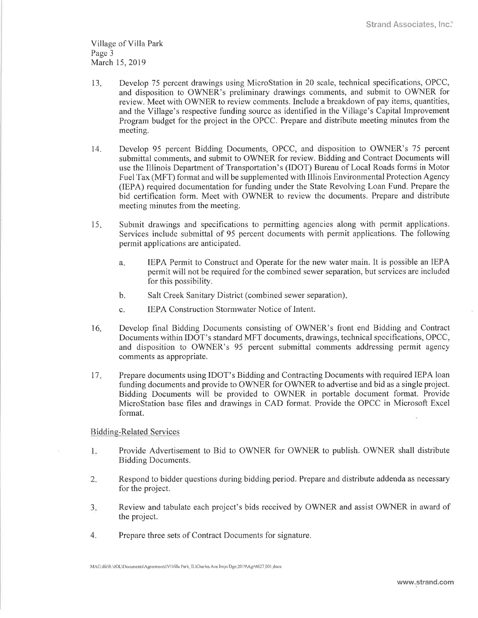Village of Villa Park Page 3 March 15,2019

- l3 Develop 75 percent drawings using MicroStation in 20 scale, technical specifications, OPCC, and disposition to OWNER's preliminary drawings comments, and submit to OWNER for review. Meet with OWNER to review comments. Include a breakdown of pay items, quantities, and the Village's respective funding source as identified in the Village's Capital Improvement Program budget for the project in the OPCC. Prepare and distribute meeting minutes from the meeting.
- 14. Develop 95 percent Bidding Documents, OPCC, and disposition to OWNER's 75 percent submittal comments, and submit to OWNER for review. Bidding and Contract Documents will use the Illinois Depaftment of Transportation's (IDOT) Bureau of Local Roads forms in Motor Fuel Tax (MFT) format and will be supplemented with Illinois Environmental Protection Agency (IEPA) required documentation for funding under the State Revolving Loan Fund. Prepare the bid certification form. Meet with OWNER to review the documents. Prepare and distribute meeting minutes from the meeting.
- <sup>15</sup> Subrnit drawings and specifications to permitting agencies along with permit applications. Services include submittal of 95 percent documents with permit applications. The following permit applications are anticipated.
	- <sup>a</sup> IEPA Permit to Construct and Operate for the new water main, It is possible an IEPA permit will not be required for the combined sewer separation, but services are included for this possibility.
	- Salt Creek Sanitary District (combined sewer separation) b.
	- IEPA Construction Stormwater Notice of Intent. c,
- Develop final Bidding Documents consisting of OWNER's front end Bidding and. Contract Documents within IDOT's standard MFT documents, drawings, technical specifications, OPCC, and disposition to OWNER's 95 percent submittal comments addressing permit agency comments as appropriate. 16
- 17 Prepare documents using IDOT's Bidding and Contracting Documents with required IEPA loan funding documents and provide to OWNER for OWNER to advertise and bid as a single project. Bidding Documents will be provided to OWNER in portable document format. Provide MicroStation base files and drawings in CAD format. Provide the OPCC in Microsoft Excel format.

Biddine-Related Services

- 1. Provide Advertisement to Bid to OWNER for OWNER to publish. OWNER shall distribute Bidding Documents.
- Respond to bidder questions during bidding period. Prepare and distribute addenda as necessary for the project.  $2.$
- Review and tabulate each project's bids received by OWNER and assist OWNER in award of the project.  $3<sub>1</sub>$
- 4. Prepare three sets of Contract Documents for signature.

MAG:dfe\R:UOL\Documents\Agreements\V\Villa Park, IL\Charles Ave Imps Dgn.2019\Agr\4627.001.docx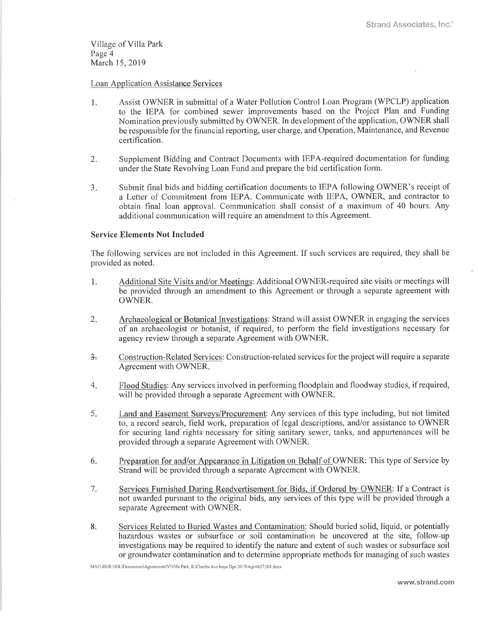Village of Villa Park Page 4 March 15, 2019

## Loan Application Assistance Services

- 1. Assist OWNER in submittal of a Water Pollution Control Loan Program (WPCLP) application to the IEPA for combined sewer improvements based on the Project Plan and Funding Nomination previously submitted by OWNER. In development of the application, OWNER shall be responsible for the financial reporting, user charge, and Operation, Maintenance, and Revenue certifìcation.
- 2. Supplernent Bidding and Contract Documents with lEPA-required documentation for funding under the State Revolving Loan Fund and prepare the bid certification form.
- a -l Submit final bids and bidding certification documents to IEPA following OWNER's receipt of a Letter of Commitment from IEPA. Communicate with IEPA, OWNER, and contractor to obtain final loan approval. Communication shall consist of a maximum of 40 hours. Any additional communication will require an amendment to this Agreement.

### Service Elements Not Included

The following services are not included in this Agreement. If such services are required, they shall be provided as noted.

- $1$ . Additional Site Visits and/or Meetings: Additional OWNER-required site visits or meetings will be provided through an amendment to this Agreement or through a separate agreement with OWNER.
- Archaeological or Botanical Investigations: Strand will assist OWNER in engaging the services of an archaeologist or botanist, if required, to perform the field investigations necêssary for agency review through a separate Agreement with OWNER.  $2.$
- 3. Construction-Related Services: Construction-related services for the project will require a separate Agreement with OWNER
- Flood Studies: Any services involved in performing floodplain and floodway studies, if required, will be provided through a separate Agreement with OWNER. 4
- Land and Easement Surveys/Procurement: Any services of this type including, but n'ot limited to, a record search, freld work, preparation of legal descriptions, and/or assistance to OWNER for securing land rights necessary for siting sanitary sewer, tanks, and appurtenances will be provided through a separate Agreement with OWNER. 5.
- Preparation for and/or Appearance in Litigation on Behalf of OWNER: This type of Service by Strand will be provided through a separate Agreement with OWNER. 6
- Services Furnished During Readvertisernent for Bids. if Ordered by OWNER: If a Contract is not awarded pursuant to the original bids, any services of this type will be provided through a separate Agreement with OWNER.  $7.$
- 8. Services Related to Buried Wastes and Contamination: Should buried solid, liquid, or potentially hazardous wastes or subsurface or soil contamination be uncovered at the site, follow-up investigations may be required to identify the nature and extent of such wastes or subsurface soil or groundwater contamination and to determine appropriate methods for managing of such wastes

MAG:dfe\R:\JOL\Documents\Agreements\V\Villa Park, IL\Charles Ave Imps Dgn.2019\Agr\4627.001.docx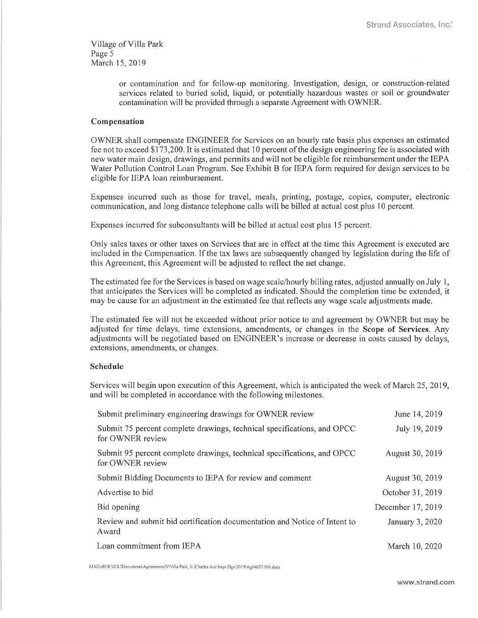Village of Villa Park Page 5 March 15,2019

> or contamination and for follow-up monitoring. Investigation, design, or construction-related services related to buried solid, liquid, or potentially hazardous wastes or soil or groundwater contamination will be provided through a separate Agreement with OWNER.

## Compensation

OWNER shall compensate ENGINEER for Services on an hourly rate basis plus expenses an estimated fee not to exceed \$ 1 73,200. It is estimated that 1 0 percent of the design engineering fee is associated with new water main design, drawings, and permits and will not be eligible for reimbursement under the IEPA Water Pollution Control Loan Program. See Exhibit B for IEPA form required for design services to be eligible for IEPA loan reimbursement.

Expenses incurred such as those for travel, meals, printing, postage, copies, computer, electronic communication, and long distance telephone calls will be billed at actual cost plus 10 percent.

Expenses incurred for subconsultants will be billed at actual cost plus l5 percent.

Only sales taxes or other taxes on Seryices that are in effect at the time this Agreement is executed are included in the Compensation. If the tax laws are subsequently changed by legislation during the life of this Agreernent, this Agreement will be adjusted to reflect the net change.

The estimated fee for the Services is based on wage scale/hourly billing rates, adjusted annually on July 1, that anticipates the Services will be completed as indicated. Should the completion time be extended, it may be cause for an adjustment in the estimated fee that reflects any wage scale adjustments made.

The estimated fee will not be exceeded without prior notice to and agreement by OWNER but may be adjusted for time delays, time extensions, amendments, or changes in the Scope of Services. Any adjustments will be negotiated based on ENGINEER's increase or decrease in costs caused by delays, extensions, amendments, or changes,

### Schedule

Services will begin upon execution of this Agreement, which is anticipated the week of March 25, 2019, and will be completed in accordance with the following milestones.

| Submit preliminary engineering drawings for OWNER review                                    | June 14, 2019     |
|---------------------------------------------------------------------------------------------|-------------------|
| Submit 75 percent complete drawings, technical specifications, and OPCC<br>for OWNER review | July 19, 2019     |
| Submit 95 percent complete drawings, technical specifications, and OPCC<br>for OWNER review | August 30, 2019   |
| Submit Bidding Documents to IEPA for review and comment                                     | August 30, 2019   |
| Advertise to bid                                                                            | October 31, 2019  |
| Bid opening                                                                                 | December 17, 2019 |
| Review and submit bid certification documentation and Notice of Intent to<br>Award          | January 3, 2020   |
| Loan commitment from IEPA                                                                   | March 10, 2020    |

MAG:dfe\R:\JOL\Documents\Agreements\V\Villa Park, IL\Charles Ave Imps Dgn.2019\Agr\4627.001.docx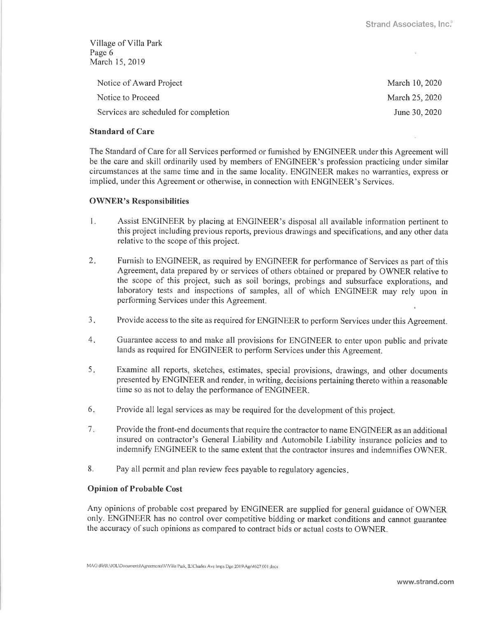Village of Villa Park Page 6 March 15,2019

| Notice of Award Project               | March 10, 2020 |
|---------------------------------------|----------------|
| Notice to Proceed                     | March 25, 2020 |
| Services are scheduled for completion | June 30, 2020  |

## Standard of Care

The Standard of Care for all Services performed or furnished by ENGINEER under this Agreement will be the care and skill ordinarily used by members of ENGINEER's profession practicing under similar circumstances at the same time and in the same locality. ENGINEER makes no warranties, express or implied, under this Agreement or otherwise, in connection with ENGINEER's Services.

## OWNER's Responsibilities

- $\mathbf{I}$ . Assist ENGINEER by placing at ENGINEER's disposal all available information pertinent to this project including previous repofts, previous drawings and specifications, and any other data relative to the scope of this project.
- 2. Furnish to ENGINEER, as required by ENGINEER for performance of Services as part of this Agreement, data prepared by or services of others obtained or prepared by OWNER relative to the scope of this project, such as soil borings, probings and subsurface explorations, and laboratory tests and inspections of samples, all of which ENGINEER may rely upon in performing Services under this Agreement.
- Provide access to the site as required for ENGINEER to perform Services under this Agreement.  $3<sub>z</sub>$
- Guarantee access to and make all provisions for ENGINEER to enter upon public and private lands as required for ENGINEER to perform Services under this Agreement.  $4.$
- Examine all repofts, sketches, estimates, special provisions, drawings, and other documents presented by ENGINEER and render, in writing, decisions pertaining thereto within a reasonable time so as not to delay the performance of ENGINEER.  $5.$
- Provide all legal services as may be required for the development of this project. 6
- Provide the front-end documents that require the contractor to name ENGINEER as an additional insured on contractor's General Liability and Automobile Liability insurance policies and to indemnify ENGINEER to the same extent that the contractor insures and indemnifies OWNER.  $7<sub>1</sub>$
- 8. Pay all permit and plan review fees payable to regulatory agencies.

# Opinion of Probable Cost

Any opinions of probable cost prepared by ENGINEER are supplied for general guidance of OWNER only. ENGINEER has no control over competitive bidding or market conditions and cannot guarantee the accuracy of such opinions as compared to contract bids or actual costs to OWNER.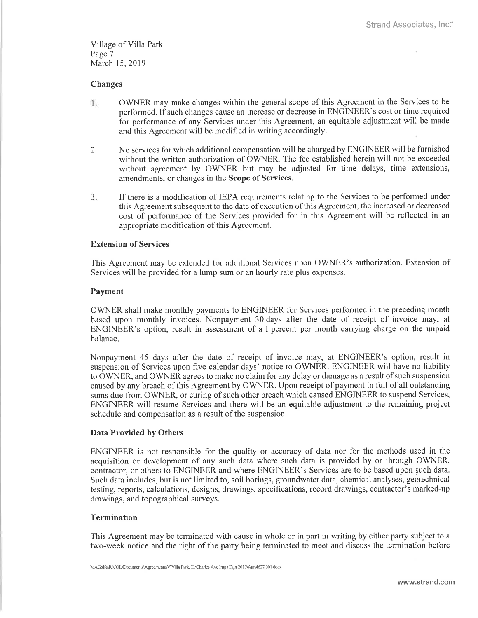Village of Villa Park Page 7 March 15,2019

### Changes

- $1.$ OWNER may make changes within the general scope of this Agreement in the Services to be performed. If such changes cause an increase or decrease in ENGINEER's cost or time required for performance of any Services under this Agreernent, an equitable adjustment will be made and this Agreement will be modified in writing accordingly.
- 2. No services for which additional compensation will be charged by ENGINEER will be furnished without the written authorization of OWNER. The fee established herein will not be exceeded without agreement by OWNER but may be adjusted for time delays, time extensions, amendments, or changes in the Scope of Services.
- $3.$ If there is a modification of IEPA requirements relating to the Services to be performed under this Agreement subsequent to the date of execution of this Agreement, the increased or decreased cost of performance of the Services provided for in this Agreement will be reflected in an appropriate modification of this Agreement.

### **Extension of Services**

This Agreement may be extended for additional Services upon OWNER's authorization. Extension of Services will be provided for a lump sum or an hourly rate plus expenses.

#### Payment

OWNER shall make monthly payments to ENGINEER for Services performed in the preceding month based upon rnonthly invoices. Nonpayment 30 days after the date of receipt of invoice may, at ENGINEER's option, result in assessment of a I percent per month carrying charge on the unpaid balance.

Nonpayment 45 days after the date of receipt of invoice may, at ENGINEER's option, result in suspension of Services upon five calendar days' notice to OWNER. ENGINEER will have no liability to OWNER, and OWNER agrees to make no claim for any delay or damage as a result of such suspension caused by any breach of this Agreement by OWNER. Upon receipt of payment in full of all outstanding sums due from OWNER, or curing of such other breach which caused ENGINEER to suspend Services, ENGINEER will resume Services and there will be an equitable adjustment to the remaining project schedule and compensation as a result of the suspension.

#### Data Provided by Others

ENGINEER is not responsible for the quality or accuracy of data nor for the methods used in the acquisition or development of any such data where such data is provided by or through OWNER, contractor, or others to ENGINEER and where ENGINEER's Services are to be based upon such data. Such data includes, but is not limited to, soil borings, groundwater data, chemical analyses, geotechnical testing, reports, calculations, designs, drawings, specifications, record drawings, contractor's marked-up drawings, and topographical surveys.

## Termination

This Agreement may be terminated with cause in whole or in part in writing by either party subject to a two-week notice and the right of the party being terminated to meet and discuss the termination before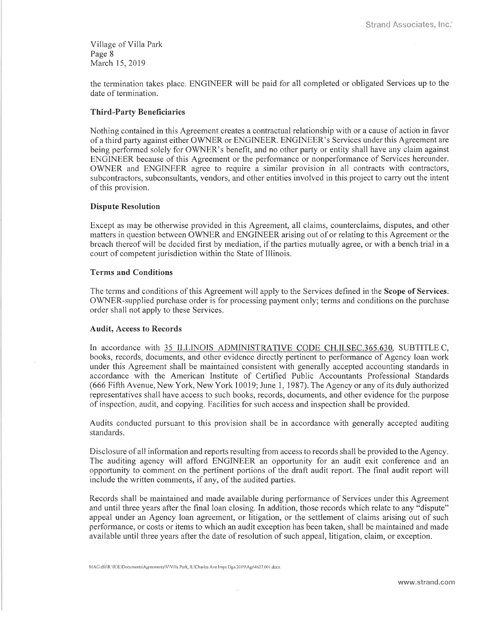Village of Villa Park Page 8 March 15,2019

the tennination takes place. ENGINEER will be paid for all completed or obligated Services up to the date of tennination.

# Third-Party Beneficiaries

Nothing contained in this Agreement creates a contractual relationship with or a cause of action in favor of a third party against either OWNER or ENGINEER. ENGINEER's Services under this Agreement are being performed solely for OWNER's benefit, and no other party or entity shall have any claim against ENGINEER because of this Agreement or the performance or nonperfonnance of Services hereunder. OWNER and ENGINEER agree to require a similar provision in all contracts with contractors, subcontractors, subconsultants, vendors, and other entities involved in this project to carry out the intent of this provision.

### Dispute Resolution

Except as may be otherwise provided in this Agreement, all claims, counterclaims, disputes, and other matters in question between OWNER and ENGINEER arising out of or relating to this Agreement or the breach thereof will be decided first by mediation, if the parties mutually agree, or with a bench trial in a court of competent jurisdiction within the State of Illinois.

### Terms and Conditions

The tenns and conditions of this Agreement will apply to the Services defined in the Scope of Services. OWNER-supplied purchase order is for processing payment only; terms and conditions on thé purchase order shall not apply to these Services.

#### Audit, Access to Records

In accordance with 35 ILLINOIS ADMINISTRATIVE CODE CH.II.SEC.365.630, SUBTITLE C, books, records, documents, and other evidence directly pertinent to performance of Agency loan work under this Agreement shall be maintained consistent with generally accepted accounting standards in accordance with the American Institute of Ceftified Public Accountants Professional Standards (666 Fifth Avenue, New York, New York 10019; June 1, 1987). The Agency or any of its duly authorized representatives shall have access to such books, records, documents, and other evidence for the purpose of inspection, audit, and copying. Facilities for such access and inspection shall be provided.

Audits conducted pursuant to this provision shall be in accordance with generally accepted auditing standards.

Disclosure of all information and reports resulting from access to records shall be provided to the Agency. The auditing agency will afford ENGINEER an opportunity for an audit exit conference and an opportunify to comment on the pertinent portions of the draft audit report. The final audit report will include the written comments, if any, of the audited parties.

Records shall be maintained and made available during performance of Services under this Agreement and until three years after the frnal loan closing. In addition, those records which relate to any "dispute" appeal under an Agency loan agreement, or litigation, or the settlement of claims arising out of such performance, or costs or items to which an audit exception has been taken, shall be maintained and made available until three years after the date of resolution of such appeal, litigation, claim, or exception.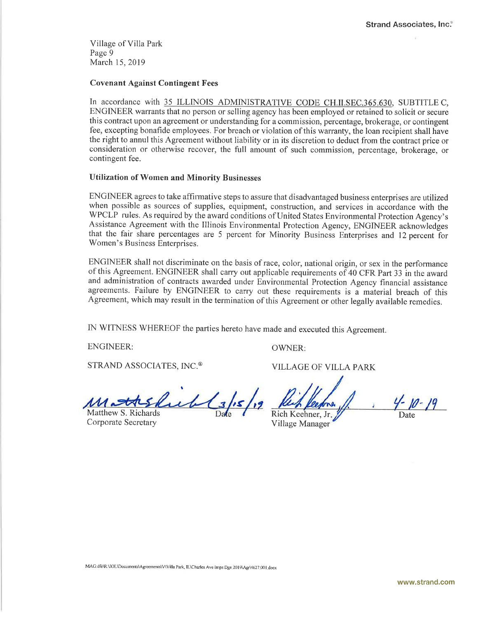Village of Villa Park Page 9 March 15,2019

## Covenant Against Contingent Fees

In accordance with 35 ILLINOIS ADMINISTRATIVE CODE CH.II.SEC.365.630, SUBTITLE C, ENGINEER warrants that no person or selling agency has been employed or retained to solicit or secure this contract upon an agreement or understanding for a commission, percentage, brokerage, or contingent fee, excepting bonafide employees. For breach or violation of this waranty, the loan recipient shall have the right to annul this Agreement without liability or in its discretion to deduct from the contract price or consideration or otherwise recover, the full amount of such commission, percentage, brokerage, or contingent fee.

#### Utilization of Women and Minority Businesses

ENGINEER agrees to take affirmative steps to assure that disadvantaged business enterprises are utilized when possible as sources of supplies, equipment, construction, and services in accordance with the WPCLP rules. As required by the award conditions of United States Environmental Protection Agency's Assistance Agreement with the Illinois Environmental Protection Agency, ENGINEER acknowledges that the fair share percentages are 5 percent for Minority Business Enterprises and 12 percent ior Women's Business Enterprises.

ENGINEER shall not discriminate on the basis of race, color, national origin, or sex in the performance of this Agreement. ENGINEER shall carry out applicable requirements of 40 CFR Part 33 in the award and administration of contracts awarded under Environmental Protection Agency financial assistance agreements. Failure by ENGINEER to carry out these requirements is a material breach of this Agreement, which may result in the termination of this Agreement or other legally available remedies.

IN WITNESS WHEREOF the parties hereto have made and executed this Agreement.

ENGINEER:

OWNER:

STRAND ASSOCIATES, INC.@

I tl

Matthew S. Richards Corporate Secretary

VILLAGE OF VILLA PARK

 $4 - 10 - 19$ Rich Keehner, Jr Date

Village Manager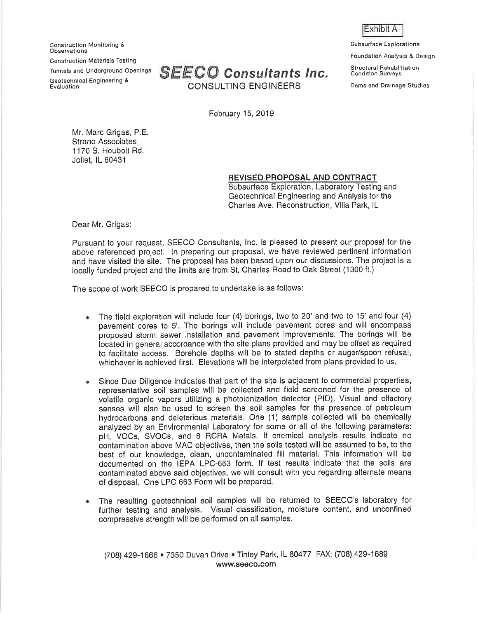Construclion Monitoring & Observatlons 0onstruction Materials Testlng Tunnels and Underground Openings Geotechnlcâl Engineering & Evaluation



February 15, 2019

Mr. Marc Grigas, P,E. Strand Associates <sup>1</sup>170 S. Houbolt Rd, Joliot, lL 60431

# REVISED PROPOSAL AND CONTRACT

Subsurface Exploration, Laboratory Testing and Geotechnical Engineering and Analysis for the Charles Ave. Reconstruction, Villa Park, lL

Dear Mr. Grigas:

Pursuant to your request, SEECO Consultants, lnc. is pleased to present our proposal for the above referenced project. In preparing our proposal, we have reviewed pertinent information and have visited the site, The proposal has been based upon our discussions, The project is a locally funded project and the limits are from St. Charles Road to Oak Street (1300 ft.)

The scope of work SEECO is prepared to undertake is as follows:

- a The field exploration will include four (4) borings, two to 20'and two to 15'and four (4) pavement cores to 5'. The borings will include pavement cores and will encompass proposed storm sewer installation and pavement improvements. The borings will be located in general accordance with the site plans provided and may be offset as required to facilitate access, Borehole depths will be to stated depths or augor/spoon refusal, whichever is achieved first. Elevations will be interpolated from plans provided to us,
- a Since Due Diligonce indicates that part of the site is adjacent to commercial properties, representalive soil samples will be collected and field screened for the presence of volatile organic vapors utilizing a photoionizatlon detector (PlD). Visual and olfactory senses will also be used to screen the soil samples for the presence of petroleum hydrocarbons and deleterious materials. One (1) sample collected will be chemically analyzed by an Environmental Laboratory for some or all of the following parameters: pH, VOCs, SVOCs, and B RCRA Metals. lf chemical analysis results indicate no contamination above MAC objectives, then the soils tested will be assumed to be, to the best of our knowledge, clean, uncontaminated fill material. This information will be documented on the IEPA LPC-663 form. lf test results indicate that the soils are contaminated above said objectives, we will consult with you regarding alternate means of disposal. One LPC 6ô3 Form wilt be prepared,
- The resulting geotochnical soil samples will be rêturned to SEECO's laboratory for further testing and analysis. Visual classification, moisture content, and unconfined compressive strength will be performed on all samples. o

(708) 429-1666 · 7350 Duvan Drive CTinley Park, IL 60477 FAX: (708) 429-1689 www.seeco.com

Exhibit A

Subsurface Exploratlons

Foundation Analysis & Design

Structural Rehabllitation Conditlon Survêys

Dams and Dralnage Studles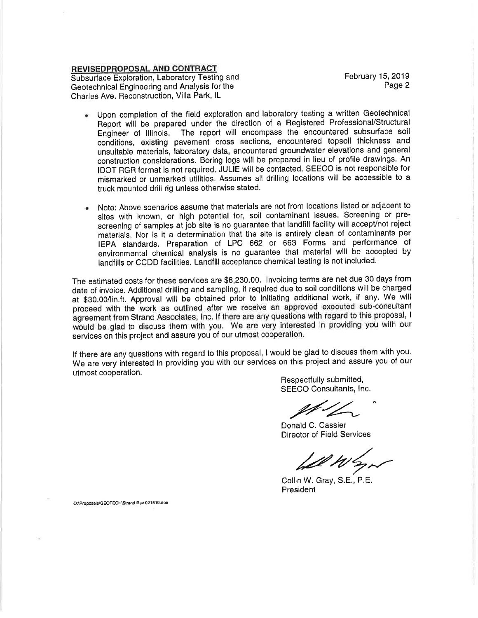## REVISEDPROPOSAL AND CONTRACT

Subsurface Exploration, Laboratory Testing and Geotechnical Engineering and Analysis for the Charles Ave. Reconstruction, Villa Park, lL

February 15,2019 Page 2

- o Upon completion of the field exploration and laboratory testing a written Geotechnical Report wili be prepared under the direction of a Registered Professional/Structural Engineer of Illinois. The report will encompass the encountered subsurface soil conditions, existing pavement cross sections, encountered topsoil thickness and unsuitable materials, laboratory data, encountered groundwater elevations and general construction considerations. Boring logs will be prepared in lieu of profile drawlngs. An IDOT RGR format is not required, JULIE will be contacted. SEECO is not responsible for mismarked or unmarksd utilities. Assumes all drilling locations will be accessible to <sup>a</sup> truck mounted drill rig unless otherwise stated,
- . Note: Above scenarios assume that materials are not from locations listed or adjacent to sites with known, or hlgh potential for, soil contaminant issues. Screening or pre' screening of samples at job site is no guarantee that landfill facility will accept/not reject materials. Nor is it a determination that the site is entirely clean of contaminants per IEPA standards. Preparation of LPC 662 or 663 Forms and performance of environmental chemical analysis is no guarantee that material will be accepted by landfills or CCDD facilities. Landfill acceptance chemical testing is not included.

The estimated costs for these services are \$8,230.00, lnvoicing terms are net due 30 days from date of invoice. Additional drilling and sampling, if required due to soil conditions will be charged at \$30.00/lin,ft. Approval will be obtained prior to inltiating additional work, if any, We will proceed with the work as outlined after we recelve an approved executed sub'consultant agreement from Strand Associates, Inc. If there are any questions with regard to this proposal, I wäuld be glad to discuss them with you. We are very interested in providing you with our services on this project and assure you of our utmost cooperation.

lf there are any questions with regard to this proposal, I would be glad to discuss them with you' We are very interested in providing you with our services on this project and assure you of our utmost cooperation.

Respectfully submitted, SEECO Consultants, lnc.

SEECO Consultant<br>Donald C. Cassier

Director of Field Seruices

k-2y'\*.-

Collin W. Gray, S.E., P.E. President

O:\Proposels\GEOTECH\Strand Rev 021519.doc